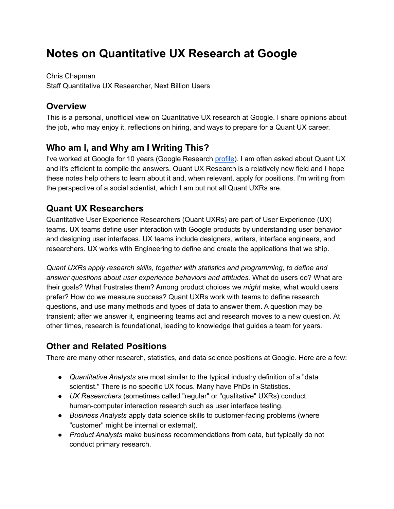# **Notes on Quantitative UX Research at Google**

Chris Chapman Staff Quantitative UX Researcher, Next Billion Users

#### **Overview**

This is a personal, unofficial view on Quantitative UX research at Google. I share opinions about the job, who may enjoy it, reflections on hiring, and ways to prepare for a Quant UX career.

# **Who am I, and Why am I Writing This?**

I've worked at Google for 10 years (Google Research [profile](https://research.google.com/pubs/ChrisChapman.html)). I am often asked about Quant UX and it's efficient to compile the answers. Quant UX Research is a relatively new field and I hope these notes help others to learn about it and, when relevant, apply for positions. I'm writing from the perspective of a social scientist, which I am but not all Quant UXRs are.

# **Quant UX Researchers**

Quantitative User Experience Researchers (Quant UXRs) are part of User Experience (UX) teams. UX teams define user interaction with Google products by understanding user behavior and designing user interfaces. UX teams include designers, writers, interface engineers, and researchers. UX works with Engineering to define and create the applications that we ship.

*Quant UXRs apply research skills, together with statistics and programming, to define and answer questions about user experience behaviors and attitudes.* What do users do? What are their goals? What frustrates them? Among product choices we *might* make, what would users prefer? How do we measure success? Quant UXRs work with teams to define research questions, and use many methods and types of data to answer them. A question may be transient; after we answer it, engineering teams act and research moves to a new question. At other times, research is foundational, leading to knowledge that guides a team for years.

# **Other and Related Positions**

There are many other research, statistics, and data science positions at Google. Here are a few:

- *Quantitative Analysts* are most similar to the typical industry definition of a "data scientist." There is no specific UX focus. Many have PhDs in Statistics.
- *UX Researchers* (sometimes called "regular" or "qualitative" UXRs) conduct human-computer interaction research such as user interface testing.
- *Business Analysts* apply data science skills to customer-facing problems (where "customer" might be internal or external).
- *Product Analysts* make business recommendations from data, but typically do not conduct primary research.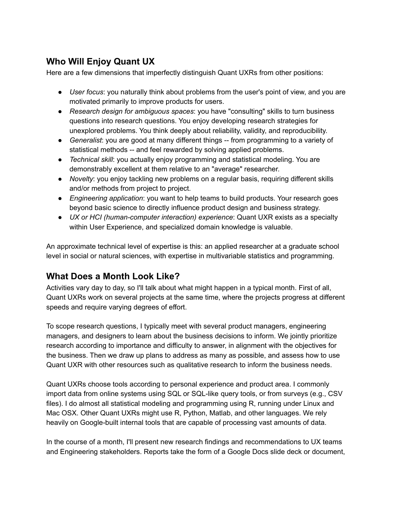# **Who Will Enjoy Quant UX**

Here are a few dimensions that imperfectly distinguish Quant UXRs from other positions:

- *User focus*: you naturally think about problems from the user's point of view, and you are motivated primarily to improve products for users.
- *Research design for ambiguous spaces*: you have "consulting" skills to turn business questions into research questions. You enjoy developing research strategies for unexplored problems. You think deeply about reliability, validity, and reproducibility.
- *Generalist*: you are good at many different things -- from programming to a variety of statistical methods -- and feel rewarded by solving applied problems.
- *Technical skill*: you actually enjoy programming and statistical modeling. You are demonstrably excellent at them relative to an "average" researcher.
- *Novelty*: you enjoy tackling new problems on a regular basis, requiring different skills and/or methods from project to project.
- *Engineering application*: you want to help teams to build products. Your research goes beyond basic science to directly influence product design and business strategy.
- *UX or HCI (human-computer interaction) experience*: Quant UXR exists as a specialty within User Experience, and specialized domain knowledge is valuable.

An approximate technical level of expertise is this: an applied researcher at a graduate school level in social or natural sciences, with expertise in multivariable statistics and programming.

## **What Does a Month Look Like?**

Activities vary day to day, so I'll talk about what might happen in a typical month. First of all, Quant UXRs work on several projects at the same time, where the projects progress at different speeds and require varying degrees of effort.

To scope research questions, I typically meet with several product managers, engineering managers, and designers to learn about the business decisions to inform. We jointly prioritize research according to importance and difficulty to answer, in alignment with the objectives for the business. Then we draw up plans to address as many as possible, and assess how to use Quant UXR with other resources such as qualitative research to inform the business needs.

Quant UXRs choose tools according to personal experience and product area. I commonly import data from online systems using SQL or SQL-like query tools, or from surveys (e.g., CSV files). I do almost all statistical modeling and programming using R, running under Linux and Mac OSX. Other Quant UXRs might use R, Python, Matlab, and other languages. We rely heavily on Google-built internal tools that are capable of processing vast amounts of data.

In the course of a month, I'll present new research findings and recommendations to UX teams and Engineering stakeholders. Reports take the form of a Google Docs slide deck or document,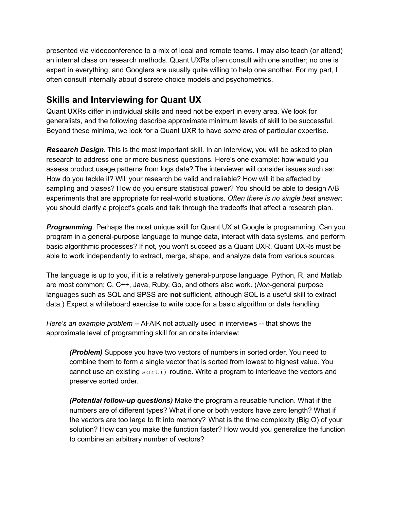presented via videoconference to a mix of local and remote teams. I may also teach (or attend) an internal class on research methods. Quant UXRs often consult with one another; no one is expert in everything, and Googlers are usually quite willing to help one another. For my part, I often consult internally about discrete choice models and psychometrics.

#### **Skills and Interviewing for Quant UX**

Quant UXRs differ in individual skills and need not be expert in every area. We look for generalists, and the following describe approximate minimum levels of skill to be successful. Beyond these minima, we look for a Quant UXR to have *some* area of particular expertise.

*Research Design*. This is the most important skill. In an interview, you will be asked to plan research to address one or more business questions. Here's one example: how would you assess product usage patterns from logs data? The interviewer will consider issues such as: How do you tackle it? Will your research be valid and reliable? How will it be affected by sampling and biases? How do you ensure statistical power? You should be able to design A/B experiments that are appropriate for real-world situations. *Often there is no single best answer*; you should clarify a project's goals and talk through the tradeoffs that affect a research plan.

*Programming*. Perhaps the most unique skill for Quant UX at Google is programming. Can you program in a general-purpose language to munge data, interact with data systems, and perform basic algorithmic processes? If not, you won't succeed as a Quant UXR. Quant UXRs must be able to work independently to extract, merge, shape, and analyze data from various sources.

The language is up to you, if it is a relatively general-purpose language. Python, R, and Matlab are most common; C, C++, Java, Ruby, Go, and others also work. (*Non-*general purpose languages such as SQL and SPSS are **not** sufficient, although SQL is a useful skill to extract data.) Expect a whiteboard exercise to write code for a basic algorithm or data handling.

*Here's an example problem* -- AFAIK not actually used in interviews -- that shows the approximate level of programming skill for an onsite interview:

*(Problem)* Suppose you have two vectors of numbers in sorted order. You need to combine them to form a single vector that is sorted from lowest to highest value. You cannot use an existing  $sort()$  routine. Write a program to interleave the vectors and preserve sorted order.

*(Potential follow-up questions)* Make the program a reusable function. What if the numbers are of different types? What if one or both vectors have zero length? What if the vectors are too large to fit into memory? What is the time complexity (Big O) of your solution? How can you make the function faster? How would you generalize the function to combine an arbitrary number of vectors?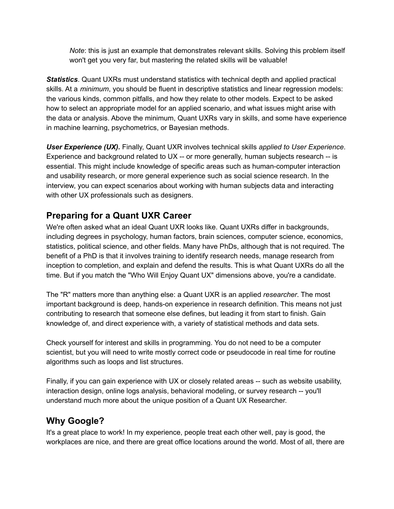*Note*: this is just an example that demonstrates relevant skills. Solving this problem itself won't get you very far, but mastering the related skills will be valuable!

*Statistics*. Quant UXRs must understand statistics with technical depth and applied practical skills. At a *minimum*, you should be fluent in descriptive statistics and linear regression models: the various kinds, common pitfalls, and how they relate to other models. Expect to be asked how to select an appropriate model for an applied scenario, and what issues might arise with the data or analysis. Above the minimum, Quant UXRs vary in skills, and some have experience in machine learning, psychometrics, or Bayesian methods.

*User Experience (UX).* Finally, Quant UXR involves technical skills *applied to User Experience*. Experience and background related to UX -- or more generally, human subjects research -- is essential. This might include knowledge of specific areas such as human-computer interaction and usability research, or more general experience such as social science research. In the interview, you can expect scenarios about working with human subjects data and interacting with other UX professionals such as designers.

## **Preparing for a Quant UXR Career**

We're often asked what an ideal Quant UXR looks like. Quant UXRs differ in backgrounds, including degrees in psychology, human factors, brain sciences, computer science, economics, statistics, political science, and other fields. Many have PhDs, although that is not required. The benefit of a PhD is that it involves training to identify research needs, manage research from inception to completion, and explain and defend the results. This is what Quant UXRs do all the time. But if you match the "Who Will Enjoy Quant UX" dimensions above, you're a candidate.

The "R" matters more than anything else: a Quant UXR is an applied *researcher*. The most important background is deep, hands-on experience in research definition. This means not just contributing to research that someone else defines, but leading it from start to finish. Gain knowledge of, and direct experience with, a variety of statistical methods and data sets.

Check yourself for interest and skills in programming. You do not need to be a computer scientist, but you will need to write mostly correct code or pseudocode in real time for routine algorithms such as loops and list structures.

Finally, if you can gain experience with UX or closely related areas -- such as website usability, interaction design, online logs analysis, behavioral modeling, or survey research -- you'll understand much more about the unique position of a Quant UX Researcher.

## **Why Google?**

It's a great place to work! In my experience, people treat each other well, pay is good, the workplaces are nice, and there are great office locations around the world. Most of all, there are